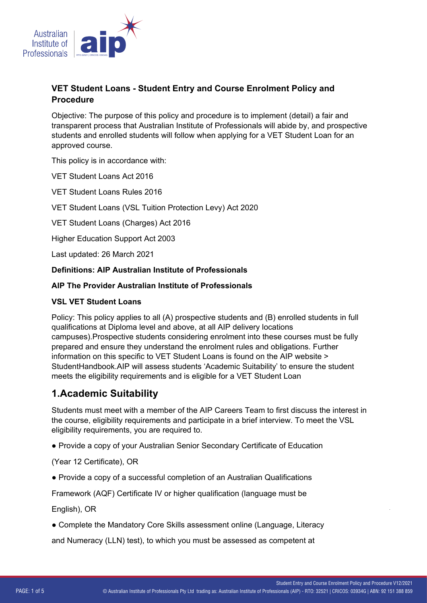

### **VET Student Loans - Student Entry and Course Enrolment Policy and Procedure**

Objective: The purpose of this policy and procedure is to implement (detail) a fair and transparent process that Australian Institute of Professionals will abide by, and prospective students and enrolled students will follow when applying for a VET Student Loan for an approved course.

This policy is in accordance with:

VET Student Loans Act 2016

VET Student Loans Rules 2016

VET Student Loans (VSL Tuition Protection Levy) Act 2020

VET Student Loans (Charges) Act 2016

Higher Education Support Act 2003

Last updated: 26 March 2021

### **Definitions: AIP Australian Institute of Professionals**

#### **AIP The Provider Australian Institute of Professionals**

#### **VSL VET Student Loans**

Policy: This policy applies to all (A) prospective students and (B) enrolled students in full qualifications at Diploma level and above, at all AIP delivery locations campuses).Prospective students considering enrolment into these courses must be fully prepared and ensure they understand the enrolment rules and obligations. Further information on this specific to VET Student Loans is found on the AIP website > StudentHandbook.AIP will assess students 'Academic Suitability' to ensure the student meets the eligibility requirements and is eligible for a VET Student Loan

## **1.Academic Suitability**

Students must meet with a member of the AIP Careers Team to first discuss the interest in the course, eligibility requirements and participate in a brief interview. To meet the VSL eligibility requirements, you are required to.

භ Provide a copy of your Australian Senior Secondary Certificate of Education

(Year 12 Certificate), OR

භ Provide a copy of a successful completion of an Australian Qualifications

Framework (AQF) Certificate IV or higher qualification (language must be

English), OR

භ Complete the Mandatory Core Skills assessment online (Language, Literacy

and Numeracy (LLN) test), to which you must be assessed as competent at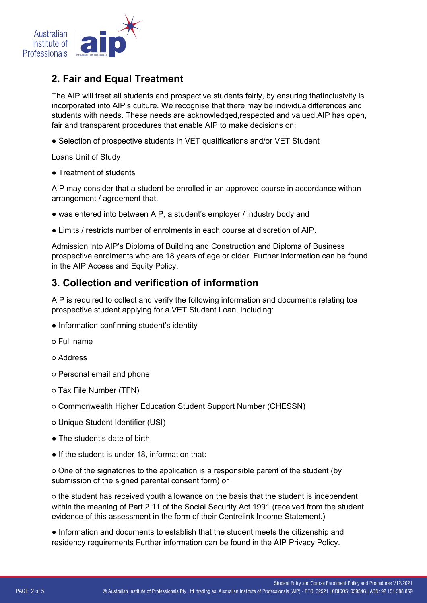

# **2. Fair and Equal Treatment**

The AIP will treat all students and prospective students fairly, by ensuring thatinclusivity is incorporated into AIP's culture. We recognise that there may be individualdifferences and students with needs. These needs are acknowledged,respected and valued.AIP has open, fair and transparent procedures that enable AIP to make decisions on;

භ Selection of prospective students in VET qualifications and/or VET Student

Loans Unit of Study

• Treatment of students

AIP may consider that a student be enrolled in an approved course in accordance withan arrangement / agreement that.

- භ was entered into between AIP, a student's employer / industry body and
- භ Limits / restricts number of enrolments in each course at discretion of AIP.

Admission into AIP's Diploma of Building and Construction and Diploma of Business prospective enrolments who are 18 years of age or older. Further information can be found in the AIP Access and Equity Policy.

## **3. Collection and verification of information**

AIP is required to collect and verify the following information and documents relating toa prospective student applying for a VET Student Loan, including:

- භ Information confirming student's identity
- o Full name
- o Address
- o Personal email and phone
- o Tax File Number (TFN)
- o Commonwealth Higher Education Student Support Number (CHESSN)
- o Unique Student Identifier (USI)
- The student's date of birth
- If the student is under 18, information that:

o One of the signatories to the application is a responsible parent of the student (by submission of the signed parental consent form) or

o the student has received youth allowance on the basis that the student is independent within the meaning of Part 2.11 of the Social Security Act 1991 (received from the student evidence of this assessment in the form of their Centrelink Income Statement.)

භ Information and documents to establish that the student meets the citizenship and residency requirements Further information can be found in the AIP Privacy Policy.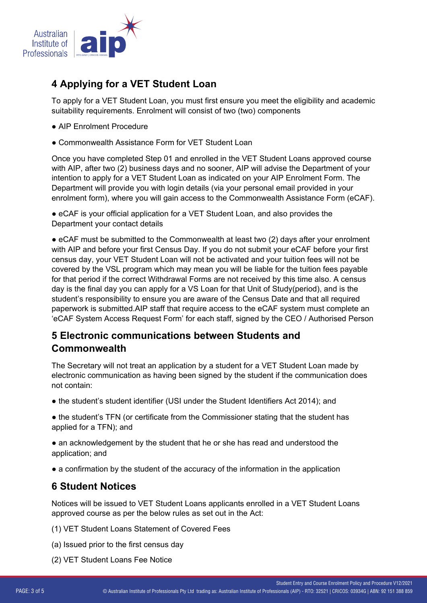

## **4 Applying for a VET Student Loan**

To apply for a VET Student Loan, you must first ensure you meet the eligibility and academic suitability requirements. Enrolment will consist of two (two) components

- භ AIP Enrolment Procedure
- **Commonwealth Assistance Form for VET Student Loan**

Once you have completed Step 01 and enrolled in the VET Student Loans approved course with AIP, after two (2) business days and no sooner, AIP will advise the Department of your intention to apply for a VET Student Loan as indicated on your AIP Enrolment Form. The Department will provide you with login details (via your personal email provided in your enrolment form), where you will gain access to the Commonwealth Assistance Form (eCAF).

භ eCAF is your official application for a VET Student Loan, and also provides the Department your contact details

භ eCAF must be submitted to the Commonwealth at least two (2) days after your enrolment with AIP and before your first Census Day. If you do not submit your eCAF before your first census day, your VET Student Loan will not be activated and your tuition fees will not be covered by the VSL program which may mean you will be liable for the tuition fees payable for that period if the correct Withdrawal Forms are not received by this time also. A census day is the final day you can apply for a VS Loan for that Unit of Study(period), and is the student's responsibility to ensure you are aware of the Census Date and that all required paperwork is submitted.AIP staff that require access to the eCAF system must complete an 'eCAF System Access Request Form' for each staff, signed by the CEO / Authorised Person

# **5 Electronic communications between Students and Commonwealth**

The Secretary will not treat an application by a student for a VET Student Loan made by electronic communication as having been signed by the student if the communication does not contain:

- භ the student's student identifier (USI under the Student Identifiers Act 2014); and
- the student's TFN (or certificate from the Commissioner stating that the student has applied for a TFN); and

භ an acknowledgement by the student that he or she has read and understood the application; and

භ a confirmation by the student of the accuracy of the information in the application

## **6 Student Notices**

Notices will be issued to VET Student Loans applicants enrolled in a VET Student Loans approved course as per the below rules as set out in the Act:

(1) VET Student Loans Statement of Covered Fees

- (a) Issued prior to the first census day
- (2) VET Student Loans Fee Notice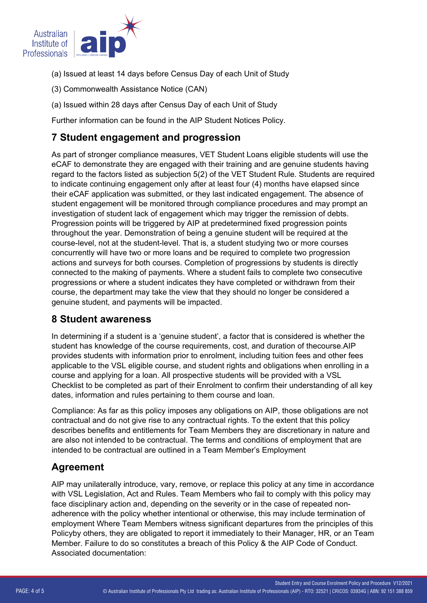

- (a) Issued at least 14 days before Census Day of each Unit of Study
- (3) Commonwealth Assistance Notice (CAN)
- (a) Issued within 28 days after Census Day of each Unit of Study

Further information can be found in the AIP Student Notices Policy.

## **7 Student engagement and progression**

As part of stronger compliance measures, VET Student Loans eligible students will use the eCAF to demonstrate they are engaged with their training and are genuine students having regard to the factors listed as subjection 5(2) of the VET Student Rule. Students are required to indicate continuing engagement only after at least four (4) months have elapsed since their eCAF application was submitted, or they last indicated engagement. The absence of student engagement will be monitored through compliance procedures and may prompt an investigation of student lack of engagement which may trigger the remission of debts. Progression points will be triggered by AIP at predetermined fixed progression points throughout the year. Demonstration of being a genuine student will be required at the course-level, not at the student-level. That is, a student studying two or more courses concurrently will have two or more loans and be required to complete two progression actions and surveys for both courses. Completion of progressions by students is directly connected to the making of payments. Where a student fails to complete two consecutive progressions or where a student indicates they have completed or withdrawn from their course, the department may take the view that they should no longer be considered a genuine student, and payments will be impacted.

### **8 Student awareness**

In determining if a student is a 'genuine student', a factor that is considered is whether the student has knowledge of the course requirements, cost, and duration of thecourse.AIP provides students with information prior to enrolment, including tuition fees and other fees applicable to the VSL eligible course, and student rights and obligations when enrolling in a course and applying for a loan. All prospective students will be provided with a VSL Checklist to be completed as part of their Enrolment to confirm their understanding of all key dates, information and rules pertaining to them course and loan.

Compliance: As far as this policy imposes any obligations on AIP, those obligations are not contractual and do not give rise to any contractual rights. To the extent that this policy describes benefits and entitlements for Team Members they are discretionary in nature and are also not intended to be contractual. The terms and conditions of employment that are intended to be contractual are outlined in a Team Member's Employment

## **Agreement**

AIP may unilaterally introduce, vary, remove, or replace this policy at any time in accordance with VSL Legislation, Act and Rules. Team Members who fail to comply with this policy may face disciplinary action and, depending on the severity or in the case of repeated nonadherence with the policy whether intentional or otherwise, this may include termination of employment Where Team Members witness significant departures from the principles of this Policyby others, they are obligated to report it immediately to their Manager, HR, or an Team Member. Failure to do so constitutes a breach of this Policy & the AIP Code of Conduct. Associated documentation: